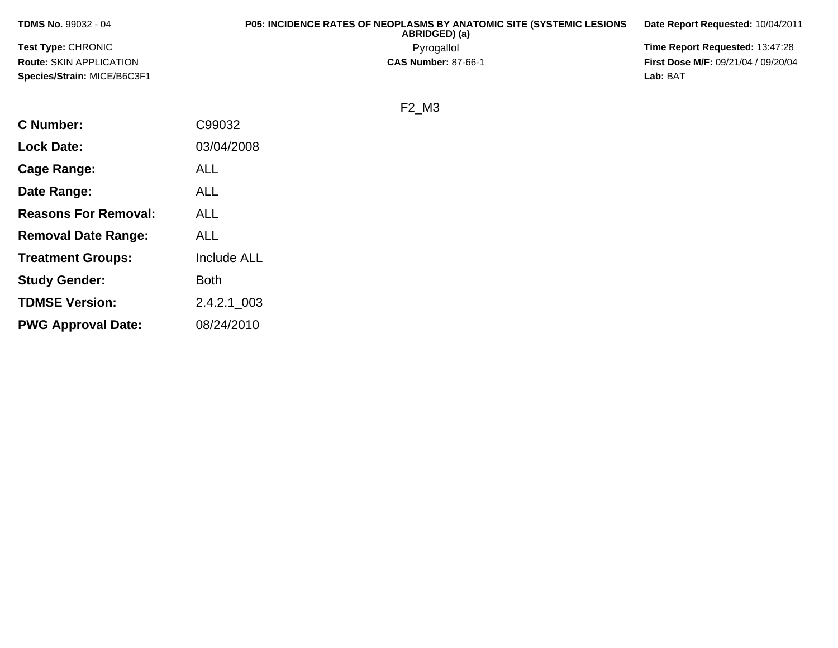| <b>TDMS No. 99032 - 04</b>         | <b>P05: INCIDENCE RATES OF NEOPLASMS BY ANATOMIC SITE (SYSTEMIC LESIONS</b><br>ABRIDGED) (a) | Date Report Requested: 10/04/2011          |
|------------------------------------|----------------------------------------------------------------------------------------------|--------------------------------------------|
| <b>Test Type: CHRONIC</b>          | Pyrogallol                                                                                   | <b>Time Report Requested: 13:47:28</b>     |
| <b>Route: SKIN APPLICATION</b>     | <b>CAS Number: 87-66-1</b>                                                                   | <b>First Dose M/F: 09/21/04 / 09/20/04</b> |
| <b>Species/Strain: MICE/B6C3F1</b> |                                                                                              | Lab: BAT                                   |

F2\_M3

| C Number:                   | C99032             |
|-----------------------------|--------------------|
| <b>Lock Date:</b>           | 03/04/2008         |
| Cage Range:                 | <b>ALL</b>         |
| Date Range:                 | ALL                |
| <b>Reasons For Removal:</b> | ALL                |
| <b>Removal Date Range:</b>  | ALL                |
| <b>Treatment Groups:</b>    | <b>Include ALL</b> |
| <b>Study Gender:</b>        | <b>Both</b>        |
| <b>TDMSE Version:</b>       | 2.4.2.1_003        |
| <b>PWG Approval Date:</b>   | 08/24/2010         |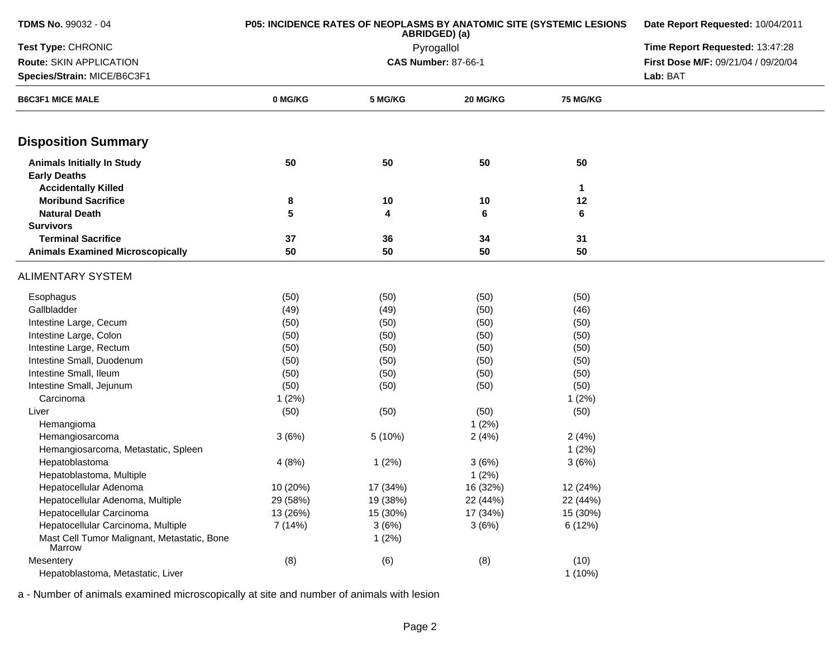| <b>TDMS No. 99032 - 04</b>                               | <b>P05: INCIDENCE RATES OF NEOPLASMS BY ANATOMIC SITE (SYSTEMIC LESIONS</b> | Date Report Requested: 10/04/2011 |                                 |                 |                                     |
|----------------------------------------------------------|-----------------------------------------------------------------------------|-----------------------------------|---------------------------------|-----------------|-------------------------------------|
| Test Type: CHRONIC                                       |                                                                             | Pyrogallol                        | Time Report Requested: 13:47:28 |                 |                                     |
| Route: SKIN APPLICATION                                  |                                                                             |                                   | <b>CAS Number: 87-66-1</b>      |                 | First Dose M/F: 09/21/04 / 09/20/04 |
| Species/Strain: MICE/B6C3F1                              |                                                                             |                                   |                                 |                 | Lab: BAT                            |
| <b>B6C3F1 MICE MALE</b>                                  | 0 MG/KG                                                                     | 5 MG/KG                           | 20 MG/KG                        | <b>75 MG/KG</b> |                                     |
| <b>Disposition Summary</b>                               |                                                                             |                                   |                                 |                 |                                     |
| <b>Animals Initially In Study</b><br><b>Early Deaths</b> | 50                                                                          | 50                                | 50                              | 50              |                                     |
| <b>Accidentally Killed</b>                               |                                                                             |                                   |                                 | 1               |                                     |
| <b>Moribund Sacrifice</b>                                | 8                                                                           | 10                                | 10                              | 12              |                                     |
| <b>Natural Death</b>                                     | 5                                                                           | 4                                 | 6                               | 6               |                                     |
| <b>Survivors</b>                                         |                                                                             |                                   |                                 |                 |                                     |
| <b>Terminal Sacrifice</b>                                | 37                                                                          | 36                                | 34                              | 31              |                                     |
| <b>Animals Examined Microscopically</b>                  | 50                                                                          | 50                                | 50                              | 50              |                                     |
| <b>ALIMENTARY SYSTEM</b>                                 |                                                                             |                                   |                                 |                 |                                     |
| Esophagus                                                | (50)                                                                        | (50)                              | (50)                            | (50)            |                                     |
| Gallbladder                                              | (49)                                                                        | (49)                              | (50)                            | (46)            |                                     |
| Intestine Large, Cecum                                   | (50)                                                                        | (50)                              | (50)                            | (50)            |                                     |
| Intestine Large, Colon                                   | (50)                                                                        | (50)                              | (50)                            | (50)            |                                     |
| Intestine Large, Rectum                                  | (50)                                                                        | (50)                              | (50)                            | (50)            |                                     |
| Intestine Small, Duodenum                                | (50)                                                                        | (50)                              | (50)                            | (50)            |                                     |
| Intestine Small, Ileum                                   | (50)                                                                        | (50)                              | (50)                            | (50)            |                                     |
| Intestine Small, Jejunum                                 | (50)                                                                        | (50)                              | (50)                            | (50)            |                                     |
| Carcinoma                                                | 1(2%)                                                                       |                                   |                                 | 1(2%)           |                                     |
| Liver                                                    | (50)                                                                        | (50)                              | (50)                            | (50)            |                                     |
| Hemangioma                                               |                                                                             |                                   | 1(2%)                           |                 |                                     |
| Hemangiosarcoma                                          | 3(6%)                                                                       | 5 (10%)                           | 2(4%)                           | 2(4%)           |                                     |
| Hemangiosarcoma, Metastatic, Spleen                      |                                                                             |                                   |                                 | 1(2%)           |                                     |
| Hepatoblastoma                                           | 4(8%)                                                                       | 1(2%)                             | 3(6%)                           | 3(6%)           |                                     |
| Hepatoblastoma, Multiple                                 |                                                                             |                                   | 1(2%)                           |                 |                                     |
| Hepatocellular Adenoma                                   | 10 (20%)                                                                    | 17 (34%)                          | 16 (32%)                        | 12 (24%)        |                                     |
| Hepatocellular Adenoma, Multiple                         | 29 (58%)                                                                    | 19 (38%)                          | 22 (44%)                        | 22 (44%)        |                                     |
| Hepatocellular Carcinoma                                 | 13 (26%)                                                                    | 15 (30%)                          | 17 (34%)                        | 15 (30%)        |                                     |
| Hepatocellular Carcinoma, Multiple                       | 7 (14%)                                                                     | 3(6%)                             | 3(6%)                           | 6(12%)          |                                     |
| Mast Cell Tumor Malignant, Metastatic, Bone<br>Marrow    |                                                                             | 1(2%)                             |                                 |                 |                                     |
| Mesentery                                                | (8)                                                                         | (6)                               | (8)                             | (10)            |                                     |
| Hepatoblastoma, Metastatic, Liver                        |                                                                             |                                   |                                 | $1(10\%)$       |                                     |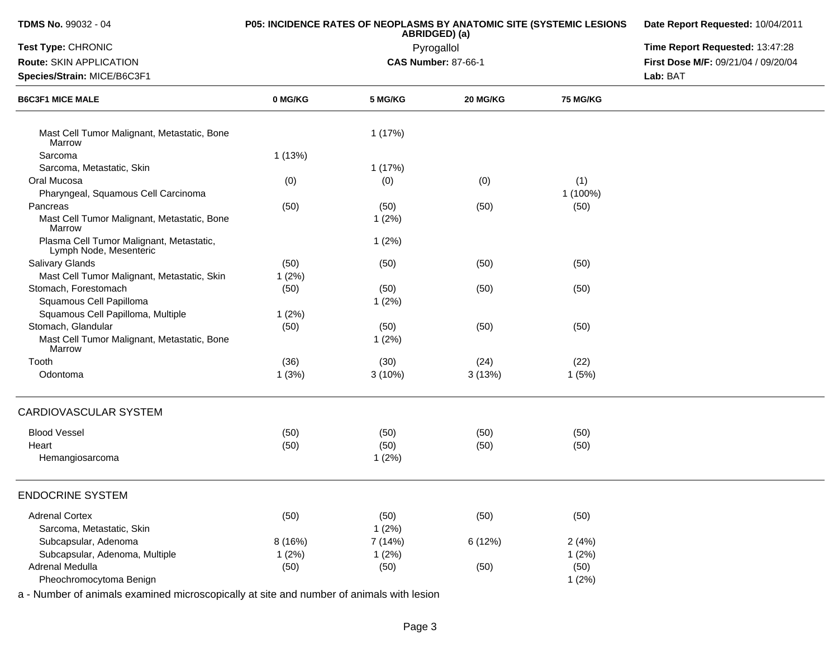| TDMS No. 99032 - 04                                                | P05: INCIDENCE RATES OF NEOPLASMS BY ANATOMIC SITE (SYSTEMIC LESIONS | ABRIDGED) (a) | Date Report Requested: 10/04/2011<br>Time Report Requested: 13:47:28 |                 |                                     |
|--------------------------------------------------------------------|----------------------------------------------------------------------|---------------|----------------------------------------------------------------------|-----------------|-------------------------------------|
| Test Type: CHRONIC                                                 |                                                                      | Pyrogallol    |                                                                      |                 |                                     |
| Route: SKIN APPLICATION                                            |                                                                      |               | <b>CAS Number: 87-66-1</b>                                           |                 | First Dose M/F: 09/21/04 / 09/20/04 |
| Species/Strain: MICE/B6C3F1                                        |                                                                      |               |                                                                      | Lab: BAT        |                                     |
| <b>B6C3F1 MICE MALE</b>                                            | 0 MG/KG                                                              | 5 MG/KG       | 20 MG/KG                                                             | <b>75 MG/KG</b> |                                     |
| Mast Cell Tumor Malignant, Metastatic, Bone<br>Marrow              |                                                                      | 1(17%)        |                                                                      |                 |                                     |
| Sarcoma                                                            | 1(13%)                                                               |               |                                                                      |                 |                                     |
| Sarcoma, Metastatic, Skin                                          |                                                                      | 1(17%)        |                                                                      |                 |                                     |
| Oral Mucosa                                                        | (0)                                                                  | (0)           | (0)                                                                  | (1)             |                                     |
| Pharyngeal, Squamous Cell Carcinoma                                |                                                                      |               |                                                                      | 1 (100%)        |                                     |
| Pancreas                                                           | (50)                                                                 | (50)          | (50)                                                                 | (50)            |                                     |
| Mast Cell Tumor Malignant, Metastatic, Bone<br>Marrow              |                                                                      | $1(2\%)$      |                                                                      |                 |                                     |
| Plasma Cell Tumor Malignant, Metastatic,<br>Lymph Node, Mesenteric |                                                                      | 1(2%)         |                                                                      |                 |                                     |
| <b>Salivary Glands</b>                                             | (50)                                                                 | (50)          | (50)                                                                 | (50)            |                                     |
| Mast Cell Tumor Malignant, Metastatic, Skin                        | 1(2%)                                                                |               |                                                                      |                 |                                     |
| Stomach, Forestomach                                               | (50)                                                                 | (50)          | (50)                                                                 | (50)            |                                     |
| Squamous Cell Papilloma                                            |                                                                      | 1(2%)         |                                                                      |                 |                                     |
| Squamous Cell Papilloma, Multiple                                  | 1(2%)                                                                |               |                                                                      |                 |                                     |
| Stomach, Glandular                                                 | (50)                                                                 | (50)          | (50)                                                                 | (50)            |                                     |
| Mast Cell Tumor Malignant, Metastatic, Bone<br>Marrow              |                                                                      | 1(2%)         |                                                                      |                 |                                     |
| Tooth                                                              | (36)                                                                 | (30)          | (24)                                                                 | (22)            |                                     |
| Odontoma                                                           | 1(3%)                                                                | 3(10%)        | 3(13%)                                                               | 1(5%)           |                                     |
| CARDIOVASCULAR SYSTEM                                              |                                                                      |               |                                                                      |                 |                                     |
| <b>Blood Vessel</b>                                                | (50)                                                                 | (50)          | (50)                                                                 | (50)            |                                     |
| Heart                                                              | (50)                                                                 | (50)          | (50)                                                                 | (50)            |                                     |
| Hemangiosarcoma                                                    |                                                                      | 1(2%)         |                                                                      |                 |                                     |
| <b>ENDOCRINE SYSTEM</b>                                            |                                                                      |               |                                                                      |                 |                                     |
| <b>Adrenal Cortex</b>                                              | (50)                                                                 | (50)          | (50)                                                                 | (50)            |                                     |
| Sarcoma, Metastatic, Skin                                          |                                                                      | 1(2%)         |                                                                      |                 |                                     |
| Subcapsular, Adenoma                                               | 8 (16%)                                                              | 7(14%)        | 6 (12%)                                                              | 2(4%)           |                                     |
| Subcapsular, Adenoma, Multiple                                     | 1(2%)                                                                | 1(2%)         |                                                                      | 1(2%)           |                                     |
| Adrenal Medulla                                                    | (50)                                                                 | (50)          | (50)                                                                 | (50)            |                                     |
| Pheochromocytoma Benign                                            |                                                                      |               |                                                                      | 1(2%)           |                                     |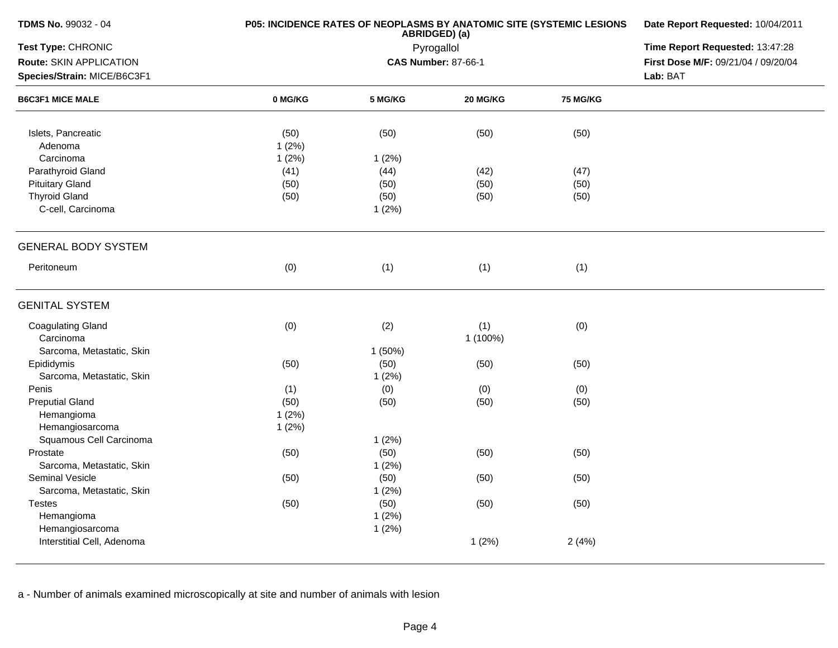| TDMS No. 99032 - 04         | P05: INCIDENCE RATES OF NEOPLASMS BY ANATOMIC SITE (SYSTEMIC LESIONS | Date Report Requested: 10/04/2011 |                            |                 |                                     |  |
|-----------------------------|----------------------------------------------------------------------|-----------------------------------|----------------------------|-----------------|-------------------------------------|--|
| Test Type: CHRONIC          |                                                                      | Pyrogallol                        |                            |                 |                                     |  |
| Route: SKIN APPLICATION     |                                                                      |                                   | <b>CAS Number: 87-66-1</b> |                 | First Dose M/F: 09/21/04 / 09/20/04 |  |
| Species/Strain: MICE/B6C3F1 |                                                                      |                                   |                            |                 | Lab: BAT                            |  |
| <b>B6C3F1 MICE MALE</b>     | 0 MG/KG                                                              | 5 MG/KG                           | 20 MG/KG                   | <b>75 MG/KG</b> |                                     |  |
| Islets, Pancreatic          | (50)                                                                 | (50)                              | (50)                       | (50)            |                                     |  |
| Adenoma                     | 1(2%)                                                                |                                   |                            |                 |                                     |  |
| Carcinoma                   | 1(2%)                                                                | 1(2%)                             |                            |                 |                                     |  |
| Parathyroid Gland           | (41)                                                                 | (44)                              | (42)                       | (47)            |                                     |  |
| <b>Pituitary Gland</b>      | (50)                                                                 | (50)                              | (50)                       | (50)            |                                     |  |
| <b>Thyroid Gland</b>        | (50)                                                                 | (50)                              | (50)                       | (50)            |                                     |  |
| C-cell, Carcinoma           |                                                                      | 1(2%)                             |                            |                 |                                     |  |
| <b>GENERAL BODY SYSTEM</b>  |                                                                      |                                   |                            |                 |                                     |  |
| Peritoneum                  | (0)                                                                  | (1)                               | (1)                        | (1)             |                                     |  |
| <b>GENITAL SYSTEM</b>       |                                                                      |                                   |                            |                 |                                     |  |
| <b>Coagulating Gland</b>    | (0)                                                                  | (2)                               | (1)                        | (0)             |                                     |  |
| Carcinoma                   |                                                                      |                                   | 1 (100%)                   |                 |                                     |  |
| Sarcoma, Metastatic, Skin   |                                                                      | 1 (50%)                           |                            |                 |                                     |  |
| Epididymis                  | (50)                                                                 | (50)                              | (50)                       | (50)            |                                     |  |
| Sarcoma, Metastatic, Skin   |                                                                      | 1(2%)                             |                            |                 |                                     |  |
| Penis                       | (1)                                                                  | (0)                               | (0)                        | (0)             |                                     |  |
| <b>Preputial Gland</b>      | (50)                                                                 | (50)                              | (50)                       | (50)            |                                     |  |
| Hemangioma                  | 1(2%)                                                                |                                   |                            |                 |                                     |  |
| Hemangiosarcoma             | 1(2%)                                                                |                                   |                            |                 |                                     |  |
| Squamous Cell Carcinoma     |                                                                      | 1(2%)                             |                            |                 |                                     |  |
| Prostate                    | (50)                                                                 | (50)                              | (50)                       | (50)            |                                     |  |
| Sarcoma, Metastatic, Skin   |                                                                      | 1(2%)                             |                            |                 |                                     |  |
| Seminal Vesicle             | (50)                                                                 | (50)                              | (50)                       | (50)            |                                     |  |
| Sarcoma, Metastatic, Skin   |                                                                      | 1(2%)                             |                            |                 |                                     |  |
| <b>Testes</b>               | (50)                                                                 | (50)                              | (50)                       | (50)            |                                     |  |
| Hemangioma                  |                                                                      | 1(2%)                             |                            |                 |                                     |  |
| Hemangiosarcoma             |                                                                      | 1(2%)                             |                            |                 |                                     |  |
| Interstitial Cell, Adenoma  |                                                                      |                                   | 1(2%)                      | 2(4%)           |                                     |  |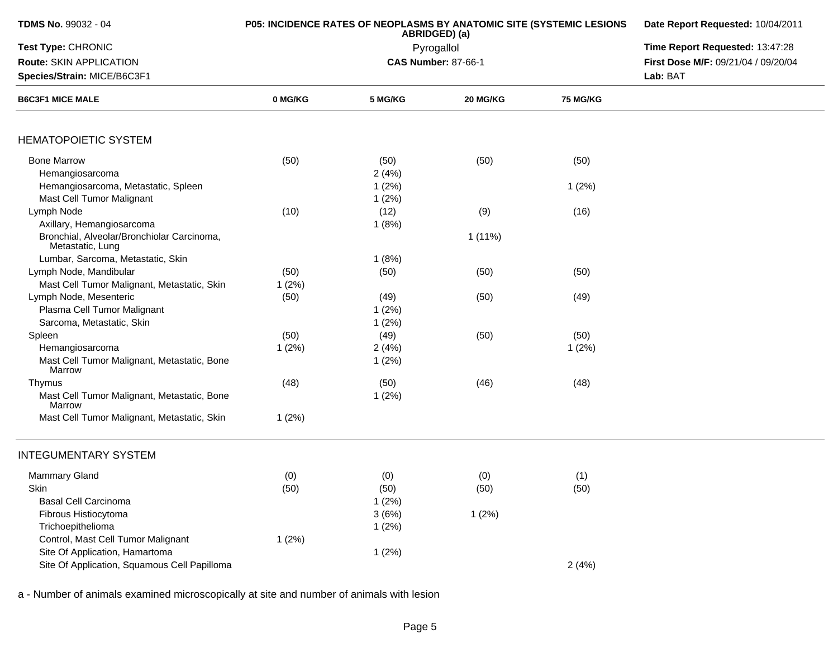| TDMS No. 99032 - 04                                            |         | P05: INCIDENCE RATES OF NEOPLASMS BY ANATOMIC SITE (SYSTEMIC LESIONS<br>ABRIDGED) (a) | Date Report Requested: 10/04/2011 |                 |                                     |
|----------------------------------------------------------------|---------|---------------------------------------------------------------------------------------|-----------------------------------|-----------------|-------------------------------------|
| Test Type: CHRONIC                                             |         | Pyrogallol                                                                            | Time Report Requested: 13:47:28   |                 |                                     |
| Route: SKIN APPLICATION                                        |         |                                                                                       | <b>CAS Number: 87-66-1</b>        |                 | First Dose M/F: 09/21/04 / 09/20/04 |
| Species/Strain: MICE/B6C3F1                                    |         |                                                                                       |                                   |                 | Lab: BAT                            |
| <b>B6C3F1 MICE MALE</b>                                        | 0 MG/KG | 5 MG/KG                                                                               | 20 MG/KG                          | <b>75 MG/KG</b> |                                     |
|                                                                |         |                                                                                       |                                   |                 |                                     |
| <b>HEMATOPOIETIC SYSTEM</b>                                    |         |                                                                                       |                                   |                 |                                     |
| <b>Bone Marrow</b>                                             | (50)    | (50)                                                                                  | (50)                              | (50)            |                                     |
| Hemangiosarcoma                                                |         | 2(4%)                                                                                 |                                   |                 |                                     |
| Hemangiosarcoma, Metastatic, Spleen                            |         | 1(2%)                                                                                 |                                   | 1(2%)           |                                     |
| Mast Cell Tumor Malignant                                      |         | 1(2%)                                                                                 |                                   |                 |                                     |
| Lymph Node                                                     | (10)    | (12)                                                                                  | (9)                               | (16)            |                                     |
| Axillary, Hemangiosarcoma                                      |         | 1(8%)                                                                                 |                                   |                 |                                     |
| Bronchial, Alveolar/Bronchiolar Carcinoma,<br>Metastatic, Lung |         |                                                                                       | $1(11\%)$                         |                 |                                     |
| Lumbar, Sarcoma, Metastatic, Skin                              |         | 1(8%)                                                                                 |                                   |                 |                                     |
| Lymph Node, Mandibular                                         | (50)    | (50)                                                                                  | (50)                              | (50)            |                                     |
| Mast Cell Tumor Malignant, Metastatic, Skin                    | 1(2%)   |                                                                                       |                                   |                 |                                     |
| Lymph Node, Mesenteric                                         | (50)    | (49)                                                                                  | (50)                              | (49)            |                                     |
| Plasma Cell Tumor Malignant                                    |         | 1(2%)                                                                                 |                                   |                 |                                     |
| Sarcoma, Metastatic, Skin                                      |         | 1(2%)                                                                                 |                                   |                 |                                     |
| Spleen                                                         | (50)    | (49)                                                                                  | (50)                              | (50)            |                                     |
| Hemangiosarcoma                                                | 1(2%)   | 2(4%)                                                                                 |                                   | 1(2%)           |                                     |
| Mast Cell Tumor Malignant, Metastatic, Bone<br>Marrow          |         | 1(2%)                                                                                 |                                   |                 |                                     |
| Thymus                                                         | (48)    | (50)                                                                                  | (46)                              | (48)            |                                     |
| Mast Cell Tumor Malignant, Metastatic, Bone<br>Marrow          |         | 1(2%)                                                                                 |                                   |                 |                                     |
| Mast Cell Tumor Malignant, Metastatic, Skin                    | 1(2%)   |                                                                                       |                                   |                 |                                     |
| <b>INTEGUMENTARY SYSTEM</b>                                    |         |                                                                                       |                                   |                 |                                     |
| <b>Mammary Gland</b>                                           | (0)     | (0)                                                                                   | (0)                               | (1)             |                                     |
| Skin                                                           | (50)    | (50)                                                                                  | (50)                              | (50)            |                                     |
| <b>Basal Cell Carcinoma</b>                                    |         | 1(2%)                                                                                 |                                   |                 |                                     |
| Fibrous Histiocytoma                                           |         | 3(6%)                                                                                 | 1(2%)                             |                 |                                     |
| Trichoepithelioma                                              |         | 1(2%)                                                                                 |                                   |                 |                                     |
| Control, Mast Cell Tumor Malignant                             | 1(2%)   |                                                                                       |                                   |                 |                                     |
| Site Of Application, Hamartoma                                 |         | 1(2%)                                                                                 |                                   |                 |                                     |
| Site Of Application, Squamous Cell Papilloma                   |         |                                                                                       |                                   | 2(4%)           |                                     |
|                                                                |         |                                                                                       |                                   |                 |                                     |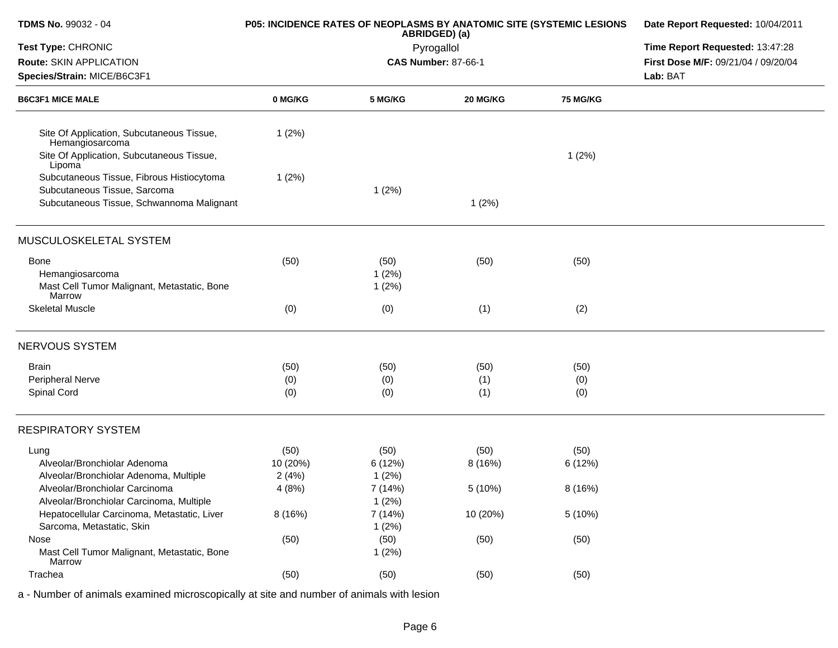| <b>TDMS No. 99032 - 04</b>                                               | P05: INCIDENCE RATES OF NEOPLASMS BY ANATOMIC SITE (SYSTEMIC LESIONS | Date Report Requested: 10/04/2011 |                                 |                 |                                     |
|--------------------------------------------------------------------------|----------------------------------------------------------------------|-----------------------------------|---------------------------------|-----------------|-------------------------------------|
| Test Type: CHRONIC                                                       |                                                                      | Pyrogallol                        | Time Report Requested: 13:47:28 |                 |                                     |
| Route: SKIN APPLICATION                                                  |                                                                      |                                   | <b>CAS Number: 87-66-1</b>      |                 | First Dose M/F: 09/21/04 / 09/20/04 |
| Species/Strain: MICE/B6C3F1                                              |                                                                      |                                   |                                 |                 | Lab: BAT                            |
| <b>B6C3F1 MICE MALE</b>                                                  | 0 MG/KG                                                              | 5 MG/KG                           | 20 MG/KG                        | <b>75 MG/KG</b> |                                     |
| Site Of Application, Subcutaneous Tissue,<br>Hemangiosarcoma             | 1(2%)                                                                |                                   |                                 |                 |                                     |
| Site Of Application, Subcutaneous Tissue,<br>Lipoma                      |                                                                      |                                   |                                 | 1(2%)           |                                     |
| Subcutaneous Tissue, Fibrous Histiocytoma                                | 1(2%)                                                                |                                   |                                 |                 |                                     |
| Subcutaneous Tissue, Sarcoma                                             |                                                                      | 1(2%)                             |                                 |                 |                                     |
| Subcutaneous Tissue, Schwannoma Malignant                                |                                                                      |                                   | 1(2%)                           |                 |                                     |
| MUSCULOSKELETAL SYSTEM                                                   |                                                                      |                                   |                                 |                 |                                     |
| <b>Bone</b>                                                              | (50)                                                                 | (50)                              | (50)                            | (50)            |                                     |
| Hemangiosarcoma                                                          |                                                                      | 1(2%)                             |                                 |                 |                                     |
| Mast Cell Tumor Malignant, Metastatic, Bone<br>Marrow                    |                                                                      | 1(2%)                             |                                 |                 |                                     |
| <b>Skeletal Muscle</b>                                                   | (0)                                                                  | (0)                               | (1)                             | (2)             |                                     |
| NERVOUS SYSTEM                                                           |                                                                      |                                   |                                 |                 |                                     |
| <b>Brain</b>                                                             | (50)                                                                 | (50)                              | (50)                            | (50)            |                                     |
| Peripheral Nerve                                                         | (0)                                                                  | (0)                               | (1)                             | (0)             |                                     |
| Spinal Cord                                                              | (0)                                                                  | (0)                               | (1)                             | (0)             |                                     |
| <b>RESPIRATORY SYSTEM</b>                                                |                                                                      |                                   |                                 |                 |                                     |
| Lung                                                                     | (50)                                                                 | (50)                              | (50)                            | (50)            |                                     |
| Alveolar/Bronchiolar Adenoma                                             | 10 (20%)                                                             | 6(12%)                            | 8(16%)                          | 6 (12%)         |                                     |
| Alveolar/Bronchiolar Adenoma, Multiple                                   | 2(4%)                                                                | 1(2%)                             |                                 |                 |                                     |
| Alveolar/Bronchiolar Carcinoma                                           | 4(8%)                                                                | 7 (14%)                           | 5 (10%)                         | 8 (16%)         |                                     |
| Alveolar/Bronchiolar Carcinoma, Multiple                                 |                                                                      | 1(2%)                             |                                 |                 |                                     |
| Hepatocellular Carcinoma, Metastatic, Liver<br>Sarcoma, Metastatic, Skin | 8(16%)                                                               | 7 (14%)<br>1(2%)                  | 10 (20%)                        | 5 (10%)         |                                     |
| Nose                                                                     | (50)                                                                 | (50)                              | (50)                            | (50)            |                                     |
| Mast Cell Tumor Malignant, Metastatic, Bone<br>Marrow                    |                                                                      | 1(2%)                             |                                 |                 |                                     |
| Trachea                                                                  | (50)                                                                 | (50)                              | (50)                            | (50)            |                                     |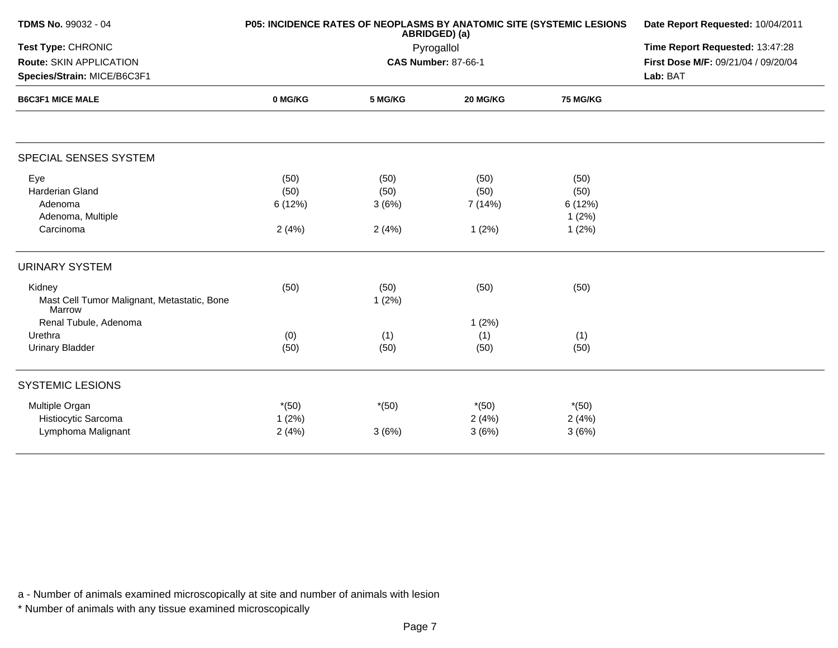| <b>TDMS No. 99032 - 04</b>                            | P05: INCIDENCE RATES OF NEOPLASMS BY ANATOMIC SITE (SYSTEMIC LESIONS | Date Report Requested: 10/04/2011 |                            |          |                                     |  |
|-------------------------------------------------------|----------------------------------------------------------------------|-----------------------------------|----------------------------|----------|-------------------------------------|--|
| Test Type: CHRONIC                                    |                                                                      | Pyrogallol                        |                            |          |                                     |  |
| Route: SKIN APPLICATION                               |                                                                      |                                   | <b>CAS Number: 87-66-1</b> |          | First Dose M/F: 09/21/04 / 09/20/04 |  |
| Species/Strain: MICE/B6C3F1                           |                                                                      |                                   |                            |          | Lab: BAT                            |  |
| <b>B6C3F1 MICE MALE</b>                               | 0 MG/KG                                                              | 5 MG/KG                           | 20 MG/KG                   | 75 MG/KG |                                     |  |
| SPECIAL SENSES SYSTEM                                 |                                                                      |                                   |                            |          |                                     |  |
| Eye                                                   | (50)                                                                 | (50)                              | (50)                       | (50)     |                                     |  |
| Harderian Gland                                       | (50)                                                                 | (50)                              | (50)                       | (50)     |                                     |  |
| Adenoma                                               | 6(12%)                                                               | 3(6%)                             | 7 (14%)                    | 6 (12%)  |                                     |  |
| Adenoma, Multiple                                     |                                                                      |                                   |                            | 1(2%)    |                                     |  |
| Carcinoma                                             | 2(4%)                                                                | 2(4%)                             | 1(2%)                      | 1(2%)    |                                     |  |
| <b>URINARY SYSTEM</b>                                 |                                                                      |                                   |                            |          |                                     |  |
| Kidney                                                | (50)                                                                 | (50)                              | (50)                       | (50)     |                                     |  |
| Mast Cell Tumor Malignant, Metastatic, Bone<br>Marrow |                                                                      | 1(2%)                             |                            |          |                                     |  |
| Renal Tubule, Adenoma                                 |                                                                      |                                   | 1(2%)                      |          |                                     |  |
| Urethra                                               | (0)                                                                  | (1)                               | (1)                        | (1)      |                                     |  |
| <b>Urinary Bladder</b>                                | (50)                                                                 | (50)                              | (50)                       | (50)     |                                     |  |
| <b>SYSTEMIC LESIONS</b>                               |                                                                      |                                   |                            |          |                                     |  |
| Multiple Organ                                        | $*(50)$                                                              | $*(50)$                           | $*(50)$                    | $*(50)$  |                                     |  |
| Histiocytic Sarcoma                                   | 1(2%)                                                                |                                   | 2(4%)                      | 2(4%)    |                                     |  |
| Lymphoma Malignant                                    | 2(4%)                                                                | 3(6%)                             | 3(6%)                      | 3(6%)    |                                     |  |

\* Number of animals with any tissue examined microscopically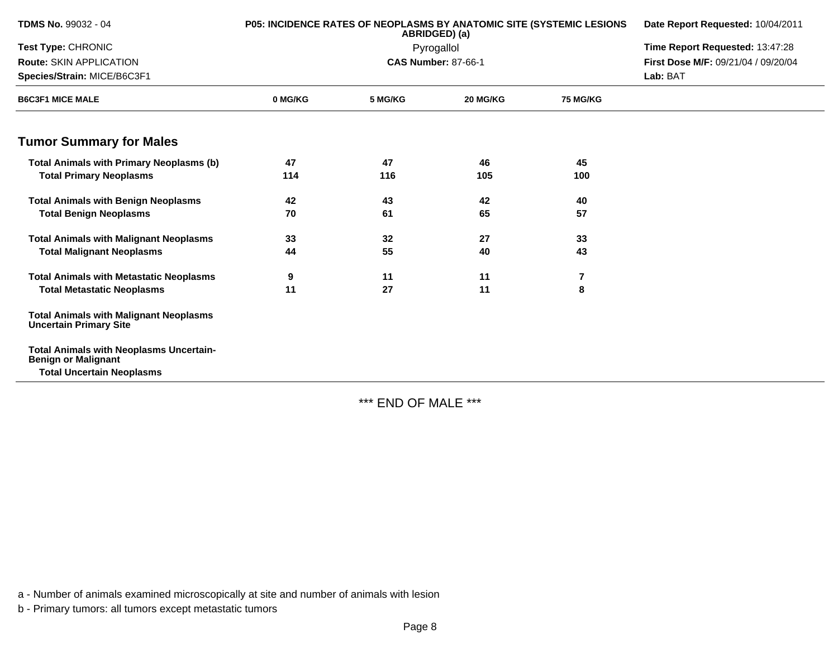| <b>TDMS No. 99032 - 04</b>                                                     | <b>P05: INCIDENCE RATES OF NEOPLASMS BY ANATOMIC SITE (SYSTEMIC LESIONS</b> | ABRIDGED) (a) | Date Report Requested: 10/04/2011 |                 |                                     |
|--------------------------------------------------------------------------------|-----------------------------------------------------------------------------|---------------|-----------------------------------|-----------------|-------------------------------------|
| <b>Test Type: CHRONIC</b>                                                      |                                                                             | Pyrogallol    | Time Report Requested: 13:47:28   |                 |                                     |
| Route: SKIN APPLICATION                                                        |                                                                             |               | <b>CAS Number: 87-66-1</b>        |                 | First Dose M/F: 09/21/04 / 09/20/04 |
| Species/Strain: MICE/B6C3F1                                                    |                                                                             |               |                                   |                 | Lab: BAT                            |
| <b>B6C3F1 MICE MALE</b>                                                        | 0 MG/KG                                                                     | 5 MG/KG       | 20 MG/KG                          | <b>75 MG/KG</b> |                                     |
| <b>Tumor Summary for Males</b>                                                 |                                                                             |               |                                   |                 |                                     |
| <b>Total Animals with Primary Neoplasms (b)</b>                                | 47                                                                          | 47            | 46                                | 45              |                                     |
| <b>Total Primary Neoplasms</b>                                                 | 114                                                                         | 116           | 105                               | 100             |                                     |
| <b>Total Animals with Benign Neoplasms</b>                                     | 42                                                                          | 43            | 42                                | 40              |                                     |
| <b>Total Benign Neoplasms</b>                                                  | 70                                                                          | 61            | 65                                | 57              |                                     |
| <b>Total Animals with Malignant Neoplasms</b>                                  | 33                                                                          | 32            | 27                                | 33              |                                     |
| <b>Total Malignant Neoplasms</b>                                               | 44                                                                          | 55            | 40                                | 43              |                                     |
| <b>Total Animals with Metastatic Neoplasms</b>                                 | 9                                                                           | 11            | 11                                | 7               |                                     |
| <b>Total Metastatic Neoplasms</b>                                              | 11                                                                          | 27            | 11                                | 8               |                                     |
| <b>Total Animals with Malignant Neoplasms</b><br><b>Uncertain Primary Site</b> |                                                                             |               |                                   |                 |                                     |
| <b>Total Animals with Neoplasms Uncertain-</b><br><b>Benign or Malignant</b>   |                                                                             |               |                                   |                 |                                     |
| <b>Total Uncertain Neoplasms</b>                                               |                                                                             |               |                                   |                 |                                     |

\*\*\* END OF MALE \*\*\*

a - Number of animals examined microscopically at site and number of animals with lesion

b - Primary tumors: all tumors except metastatic tumors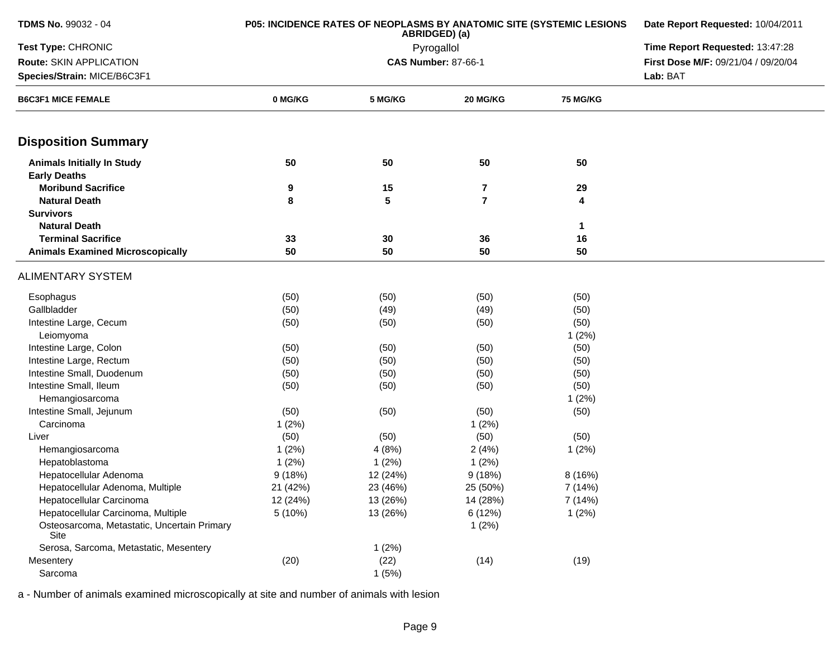| <b>TDMS No. 99032 - 04</b>                               | <b>P05: INCIDENCE RATES OF NEOPLASMS BY ANATOMIC SITE (SYSTEMIC LESIONS</b> | Date Report Requested: 10/04/2011 |                |                 |                                     |
|----------------------------------------------------------|-----------------------------------------------------------------------------|-----------------------------------|----------------|-----------------|-------------------------------------|
| Test Type: CHRONIC                                       |                                                                             |                                   | Pyrogallol     |                 | Time Report Requested: 13:47:28     |
| Route: SKIN APPLICATION                                  |                                                                             | <b>CAS Number: 87-66-1</b>        |                |                 | First Dose M/F: 09/21/04 / 09/20/04 |
| Species/Strain: MICE/B6C3F1                              |                                                                             |                                   |                | Lab: BAT        |                                     |
| <b>B6C3F1 MICE FEMALE</b>                                | 0 MG/KG                                                                     | 5 MG/KG                           | 20 MG/KG       | <b>75 MG/KG</b> |                                     |
| <b>Disposition Summary</b>                               |                                                                             |                                   |                |                 |                                     |
| <b>Animals Initially In Study</b><br><b>Early Deaths</b> | 50                                                                          | 50                                | 50             | 50              |                                     |
| <b>Moribund Sacrifice</b>                                | 9                                                                           | 15                                | 7              | 29              |                                     |
| <b>Natural Death</b>                                     | 8                                                                           | 5                                 | $\overline{7}$ | 4               |                                     |
| <b>Survivors</b>                                         |                                                                             |                                   |                |                 |                                     |
| <b>Natural Death</b>                                     |                                                                             |                                   |                | $\mathbf{1}$    |                                     |
| <b>Terminal Sacrifice</b>                                | 33                                                                          | 30                                | 36             | 16              |                                     |
| <b>Animals Examined Microscopically</b>                  | 50                                                                          | 50                                | 50             | 50              |                                     |
| <b>ALIMENTARY SYSTEM</b>                                 |                                                                             |                                   |                |                 |                                     |
| Esophagus                                                | (50)                                                                        | (50)                              | (50)           | (50)            |                                     |
| Gallbladder                                              | (50)                                                                        | (49)                              | (49)           | (50)            |                                     |
| Intestine Large, Cecum                                   | (50)                                                                        | (50)                              | (50)           | (50)            |                                     |
| Leiomyoma                                                |                                                                             |                                   |                | 1(2%)           |                                     |
| Intestine Large, Colon                                   | (50)                                                                        | (50)                              | (50)           | (50)            |                                     |
| Intestine Large, Rectum                                  | (50)                                                                        | (50)                              | (50)           | (50)            |                                     |
| Intestine Small, Duodenum                                | (50)                                                                        | (50)                              | (50)           | (50)            |                                     |
| Intestine Small, Ileum                                   | (50)                                                                        | (50)                              | (50)           | (50)            |                                     |
| Hemangiosarcoma                                          |                                                                             |                                   |                | 1(2%)           |                                     |
| Intestine Small, Jejunum                                 | (50)                                                                        | (50)                              | (50)           | (50)            |                                     |
| Carcinoma                                                | 1(2%)                                                                       |                                   | 1(2%)          |                 |                                     |
| Liver                                                    | (50)                                                                        | (50)                              | (50)           | (50)            |                                     |
| Hemangiosarcoma                                          | 1(2%)                                                                       | 4(8%)                             | 2(4%)          | 1(2%)           |                                     |
| Hepatoblastoma                                           | 1(2%)                                                                       | 1(2%)                             | 1(2%)          |                 |                                     |
| Hepatocellular Adenoma                                   | 9(18%)                                                                      | 12 (24%)                          | 9(18%)         | 8(16%)          |                                     |
| Hepatocellular Adenoma, Multiple                         | 21 (42%)                                                                    | 23 (46%)                          | 25 (50%)       | 7 (14%)         |                                     |
| Hepatocellular Carcinoma                                 | 12 (24%)                                                                    | 13 (26%)                          | 14 (28%)       | 7 (14%)         |                                     |
| Hepatocellular Carcinoma, Multiple                       | 5(10%)                                                                      | 13 (26%)                          | 6 (12%)        | 1(2%)           |                                     |
| Osteosarcoma, Metastatic, Uncertain Primary<br>Site      |                                                                             |                                   | 1(2%)          |                 |                                     |
| Serosa, Sarcoma, Metastatic, Mesentery                   |                                                                             | 1(2%)                             |                |                 |                                     |
| Mesentery                                                | (20)                                                                        | (22)                              | (14)           | (19)            |                                     |
| Sarcoma                                                  |                                                                             | 1(5%)                             |                |                 |                                     |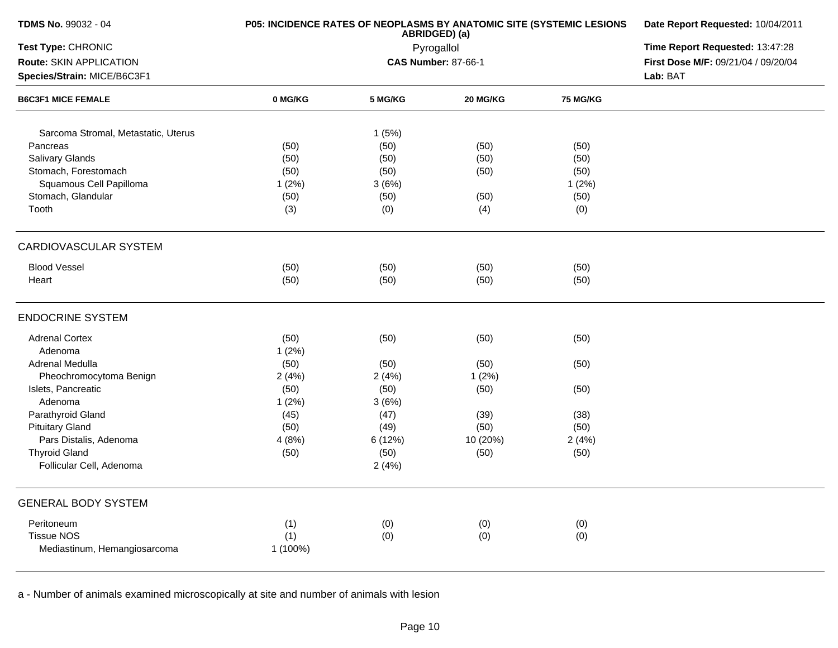| <b>TDMS No. 99032 - 04</b>          | P05: INCIDENCE RATES OF NEOPLASMS BY ANATOMIC SITE (SYSTEMIC LESIONS | Date Report Requested: 10/04/2011 |                            |          |                                     |
|-------------------------------------|----------------------------------------------------------------------|-----------------------------------|----------------------------|----------|-------------------------------------|
| Test Type: CHRONIC                  |                                                                      |                                   | Pyrogallol                 |          | Time Report Requested: 13:47:28     |
| Route: SKIN APPLICATION             |                                                                      |                                   | <b>CAS Number: 87-66-1</b> |          | First Dose M/F: 09/21/04 / 09/20/04 |
| Species/Strain: MICE/B6C3F1         |                                                                      |                                   |                            |          | Lab: BAT                            |
| <b>B6C3F1 MICE FEMALE</b>           | 0 MG/KG                                                              | 5 MG/KG                           | 20 MG/KG                   | 75 MG/KG |                                     |
| Sarcoma Stromal, Metastatic, Uterus |                                                                      | 1(5%)                             |                            |          |                                     |
| Pancreas                            | (50)                                                                 | (50)                              | (50)                       | (50)     |                                     |
| Salivary Glands                     | (50)                                                                 | (50)                              | (50)                       | (50)     |                                     |
| Stomach, Forestomach                | (50)                                                                 | (50)                              | (50)                       | (50)     |                                     |
| Squamous Cell Papilloma             | 1(2%)                                                                | 3(6%)                             |                            | 1(2%)    |                                     |
| Stomach, Glandular                  | (50)                                                                 | (50)                              | (50)                       | (50)     |                                     |
| Tooth                               | (3)                                                                  | (0)                               | (4)                        | (0)      |                                     |
| CARDIOVASCULAR SYSTEM               |                                                                      |                                   |                            |          |                                     |
| <b>Blood Vessel</b>                 | (50)                                                                 | (50)                              | (50)                       | (50)     |                                     |
| Heart                               | (50)                                                                 | (50)                              | (50)                       | (50)     |                                     |
| <b>ENDOCRINE SYSTEM</b>             |                                                                      |                                   |                            |          |                                     |
| <b>Adrenal Cortex</b>               | (50)                                                                 | (50)                              | (50)                       | (50)     |                                     |
| Adenoma                             | 1(2%)                                                                |                                   |                            |          |                                     |
| Adrenal Medulla                     | (50)                                                                 | (50)                              | (50)                       | (50)     |                                     |
| Pheochromocytoma Benign             | 2(4%)                                                                | 2(4%)                             | 1(2%)                      |          |                                     |
| Islets, Pancreatic                  | (50)                                                                 | (50)                              | (50)                       | (50)     |                                     |
| Adenoma                             | 1(2%)                                                                | 3(6%)                             |                            |          |                                     |
| Parathyroid Gland                   | (45)                                                                 | (47)                              | (39)                       | (38)     |                                     |
| <b>Pituitary Gland</b>              | (50)                                                                 | (49)                              | (50)                       | (50)     |                                     |
| Pars Distalis, Adenoma              | 4(8%)                                                                | 6 (12%)                           | 10 (20%)                   | 2(4%)    |                                     |
| <b>Thyroid Gland</b>                | (50)                                                                 | (50)                              | (50)                       | (50)     |                                     |
| Follicular Cell, Adenoma            |                                                                      | 2(4%)                             |                            |          |                                     |
| <b>GENERAL BODY SYSTEM</b>          |                                                                      |                                   |                            |          |                                     |
| Peritoneum                          | (1)                                                                  | (0)                               | (0)                        | (0)      |                                     |
| <b>Tissue NOS</b>                   | (1)                                                                  | (0)                               | (0)                        | (0)      |                                     |
| Mediastinum, Hemangiosarcoma        | 1 (100%)                                                             |                                   |                            |          |                                     |
|                                     |                                                                      |                                   |                            |          |                                     |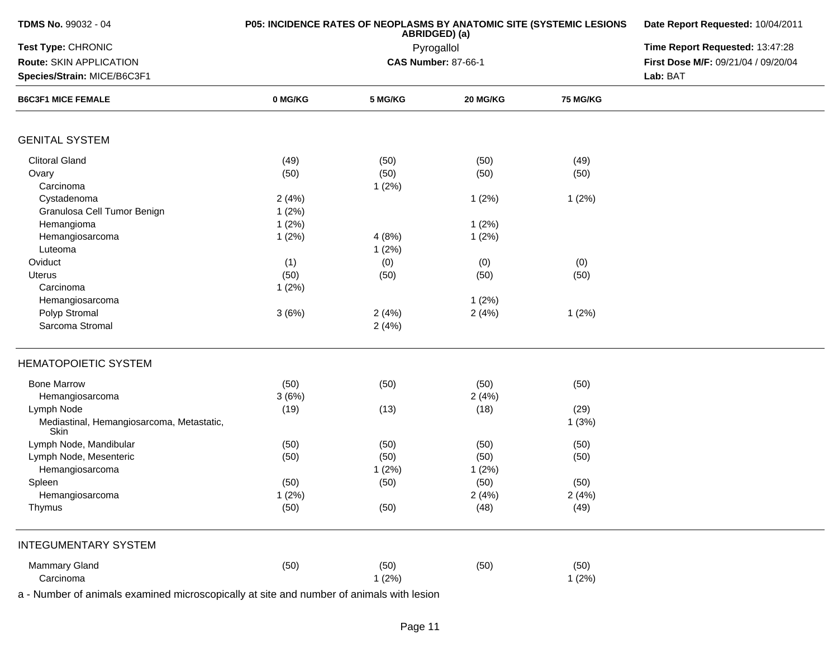| <b>TDMS No. 99032 - 04</b>                                                                            | P05: INCIDENCE RATES OF NEOPLASMS BY ANATOMIC SITE (SYSTEMIC LESIONS | Date Report Requested: 10/04/2011<br>Time Report Requested: 13:47:28 |                                          |                 |                                     |
|-------------------------------------------------------------------------------------------------------|----------------------------------------------------------------------|----------------------------------------------------------------------|------------------------------------------|-----------------|-------------------------------------|
| Test Type: CHRONIC                                                                                    |                                                                      |                                                                      |                                          |                 |                                     |
| Route: SKIN APPLICATION                                                                               |                                                                      |                                                                      | Pyrogallol<br><b>CAS Number: 87-66-1</b> |                 | First Dose M/F: 09/21/04 / 09/20/04 |
| Species/Strain: MICE/B6C3F1                                                                           |                                                                      |                                                                      |                                          |                 | Lab: BAT                            |
| <b>B6C3F1 MICE FEMALE</b>                                                                             | 0 MG/KG                                                              | 5 MG/KG                                                              | 20 MG/KG                                 | <b>75 MG/KG</b> |                                     |
| <b>GENITAL SYSTEM</b>                                                                                 |                                                                      |                                                                      |                                          |                 |                                     |
| <b>Clitoral Gland</b>                                                                                 | (49)                                                                 | (50)                                                                 | (50)                                     | (49)            |                                     |
| Ovary                                                                                                 | (50)                                                                 | (50)                                                                 | (50)                                     | (50)            |                                     |
| Carcinoma                                                                                             |                                                                      | 1(2%)                                                                |                                          |                 |                                     |
| Cystadenoma                                                                                           | 2(4%)                                                                |                                                                      | 1(2%)                                    | 1(2%)           |                                     |
| Granulosa Cell Tumor Benign                                                                           | 1(2%)                                                                |                                                                      |                                          |                 |                                     |
| Hemangioma                                                                                            | 1(2%)                                                                |                                                                      | 1(2%)                                    |                 |                                     |
| Hemangiosarcoma                                                                                       | 1(2%)                                                                | 4(8%)                                                                | 1(2%)                                    |                 |                                     |
| Luteoma                                                                                               |                                                                      | 1(2%)                                                                |                                          |                 |                                     |
| Oviduct                                                                                               | (1)                                                                  | (0)                                                                  | (0)                                      | (0)             |                                     |
| Uterus                                                                                                | (50)                                                                 | (50)                                                                 | (50)                                     | (50)            |                                     |
| Carcinoma                                                                                             | 1(2%)                                                                |                                                                      |                                          |                 |                                     |
| Hemangiosarcoma                                                                                       |                                                                      |                                                                      | 1(2%)                                    |                 |                                     |
| Polyp Stromal                                                                                         | 3(6%)                                                                | 2(4%)                                                                | 2(4%)                                    | 1(2%)           |                                     |
| Sarcoma Stromal                                                                                       |                                                                      | 2(4%)                                                                |                                          |                 |                                     |
| <b>HEMATOPOIETIC SYSTEM</b>                                                                           |                                                                      |                                                                      |                                          |                 |                                     |
| <b>Bone Marrow</b>                                                                                    | (50)                                                                 | (50)                                                                 | (50)                                     | (50)            |                                     |
| Hemangiosarcoma                                                                                       | 3(6%)                                                                |                                                                      | 2(4%)                                    |                 |                                     |
| Lymph Node                                                                                            | (19)                                                                 | (13)                                                                 | (18)                                     | (29)            |                                     |
| Mediastinal, Hemangiosarcoma, Metastatic,<br><b>Skin</b>                                              |                                                                      |                                                                      |                                          | 1(3%)           |                                     |
| Lymph Node, Mandibular                                                                                | (50)                                                                 | (50)                                                                 | (50)                                     | (50)            |                                     |
| Lymph Node, Mesenteric                                                                                | (50)                                                                 | (50)                                                                 | (50)                                     | (50)            |                                     |
| Hemangiosarcoma                                                                                       |                                                                      | 1(2%)                                                                | 1(2%)                                    |                 |                                     |
| Spleen                                                                                                | (50)                                                                 | (50)                                                                 | (50)                                     | (50)            |                                     |
| Hemangiosarcoma                                                                                       | 1(2%)                                                                |                                                                      | 2(4%)                                    | 2(4%)           |                                     |
| Thymus                                                                                                | (50)                                                                 | (50)                                                                 | (48)                                     | (49)            |                                     |
| <b>INTEGUMENTARY SYSTEM</b>                                                                           |                                                                      |                                                                      |                                          |                 |                                     |
| Mammary Gland                                                                                         | (50)                                                                 | (50)                                                                 | (50)                                     | (50)            |                                     |
| Carcinoma<br>a - Number of animals examined microscopically at site and number of animals with lesion |                                                                      | 1(2%)                                                                |                                          | 1(2%)           |                                     |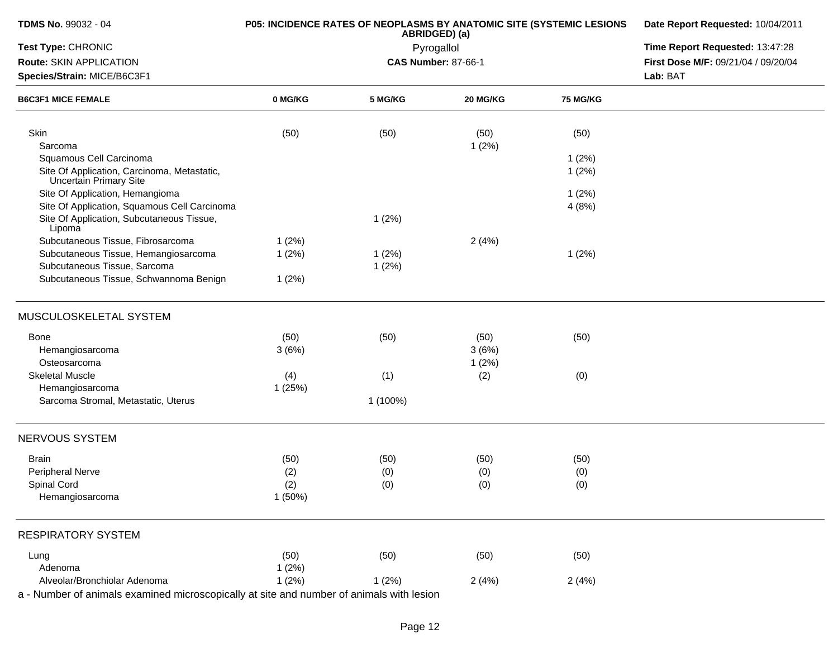| <b>TDMS No. 99032 - 04</b>                                                               |           | P05: INCIDENCE RATES OF NEOPLASMS BY ANATOMIC SITE (SYSTEMIC LESIONS<br>ABRIDGED) (a) | Date Report Requested: 10/04/2011<br>Time Report Requested: 13:47:28 |          |                                     |
|------------------------------------------------------------------------------------------|-----------|---------------------------------------------------------------------------------------|----------------------------------------------------------------------|----------|-------------------------------------|
| Test Type: CHRONIC                                                                       |           | Pyrogallol                                                                            |                                                                      |          |                                     |
| Route: SKIN APPLICATION                                                                  |           |                                                                                       | <b>CAS Number: 87-66-1</b>                                           |          | First Dose M/F: 09/21/04 / 09/20/04 |
| Species/Strain: MICE/B6C3F1                                                              |           |                                                                                       | Lab: BAT                                                             |          |                                     |
| <b>B6C3F1 MICE FEMALE</b>                                                                | 0 MG/KG   | 5 MG/KG                                                                               | 20 MG/KG                                                             | 75 MG/KG |                                     |
| Skin                                                                                     | (50)      | (50)                                                                                  | (50)                                                                 | (50)     |                                     |
| Sarcoma                                                                                  |           |                                                                                       | 1(2%)                                                                |          |                                     |
| Squamous Cell Carcinoma                                                                  |           |                                                                                       |                                                                      | 1(2%)    |                                     |
| Site Of Application, Carcinoma, Metastatic,<br><b>Uncertain Primary Site</b>             |           |                                                                                       |                                                                      | 1(2%)    |                                     |
| Site Of Application, Hemangioma                                                          |           |                                                                                       |                                                                      | 1(2%)    |                                     |
| Site Of Application, Squamous Cell Carcinoma                                             |           |                                                                                       |                                                                      | 4(8%)    |                                     |
| Site Of Application, Subcutaneous Tissue,<br>Lipoma                                      |           | 1(2%)                                                                                 |                                                                      |          |                                     |
| Subcutaneous Tissue, Fibrosarcoma                                                        | 1(2%)     |                                                                                       | 2(4%)                                                                |          |                                     |
| Subcutaneous Tissue, Hemangiosarcoma                                                     | 1(2%)     | 1(2%)                                                                                 |                                                                      | 1(2%)    |                                     |
| Subcutaneous Tissue, Sarcoma                                                             |           | 1(2%)                                                                                 |                                                                      |          |                                     |
| Subcutaneous Tissue, Schwannoma Benign                                                   | 1(2%)     |                                                                                       |                                                                      |          |                                     |
| MUSCULOSKELETAL SYSTEM                                                                   |           |                                                                                       |                                                                      |          |                                     |
| Bone                                                                                     | (50)      | (50)                                                                                  | (50)                                                                 | (50)     |                                     |
| Hemangiosarcoma                                                                          | 3(6%)     |                                                                                       | 3(6%)                                                                |          |                                     |
| Osteosarcoma                                                                             |           |                                                                                       | 1(2%)                                                                |          |                                     |
| <b>Skeletal Muscle</b>                                                                   | (4)       | (1)                                                                                   | (2)                                                                  | (0)      |                                     |
| Hemangiosarcoma                                                                          | 1(25%)    |                                                                                       |                                                                      |          |                                     |
| Sarcoma Stromal, Metastatic, Uterus                                                      |           | 1 (100%)                                                                              |                                                                      |          |                                     |
| NERVOUS SYSTEM                                                                           |           |                                                                                       |                                                                      |          |                                     |
| <b>Brain</b>                                                                             | (50)      | (50)                                                                                  | (50)                                                                 | (50)     |                                     |
| <b>Peripheral Nerve</b>                                                                  | (2)       | (0)                                                                                   | (0)                                                                  | (0)      |                                     |
| Spinal Cord                                                                              | (2)       | (0)                                                                                   | (0)                                                                  | (0)      |                                     |
| Hemangiosarcoma                                                                          | $1(50\%)$ |                                                                                       |                                                                      |          |                                     |
| <b>RESPIRATORY SYSTEM</b>                                                                |           |                                                                                       |                                                                      |          |                                     |
| Lung                                                                                     | (50)      | (50)                                                                                  | (50)                                                                 | (50)     |                                     |
| Adenoma                                                                                  | 1(2%)     |                                                                                       |                                                                      |          |                                     |
| Alveolar/Bronchiolar Adenoma                                                             | 1(2%)     | 1(2%)                                                                                 | 2(4%)                                                                | 2(4%)    |                                     |
| a - Number of animals examined microscopically at site and number of animals with lesion |           |                                                                                       |                                                                      |          |                                     |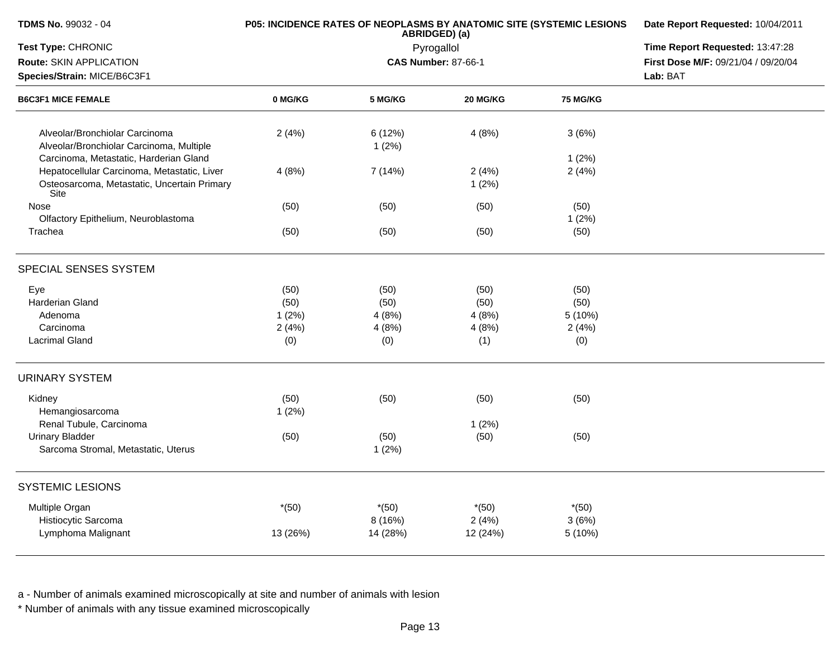| <b>TDMS No. 99032 - 04</b>                                                                                                                   |                     | P05: INCIDENCE RATES OF NEOPLASMS BY ANATOMIC SITE (SYSTEMIC LESIONS<br>ABRIDGED) (a) | Date Report Requested: 10/04/2011<br>Time Report Requested: 13:47:28 |                             |                                     |
|----------------------------------------------------------------------------------------------------------------------------------------------|---------------------|---------------------------------------------------------------------------------------|----------------------------------------------------------------------|-----------------------------|-------------------------------------|
| Test Type: CHRONIC                                                                                                                           |                     | Pyrogallol                                                                            |                                                                      |                             |                                     |
| Route: SKIN APPLICATION                                                                                                                      |                     |                                                                                       | <b>CAS Number: 87-66-1</b>                                           |                             | First Dose M/F: 09/21/04 / 09/20/04 |
| Species/Strain: MICE/B6C3F1<br><b>B6C3F1 MICE FEMALE</b>                                                                                     |                     |                                                                                       | Lab: BAT                                                             |                             |                                     |
|                                                                                                                                              | 0 MG/KG             | 5 MG/KG                                                                               | 20 MG/KG                                                             | <b>75 MG/KG</b>             |                                     |
| Alveolar/Bronchiolar Carcinoma<br>Alveolar/Bronchiolar Carcinoma, Multiple                                                                   | 2(4%)               | 6 (12%)<br>1(2%)                                                                      | 4(8%)                                                                | 3(6%)                       |                                     |
| Carcinoma, Metastatic, Harderian Gland<br>Hepatocellular Carcinoma, Metastatic, Liver<br>Osteosarcoma, Metastatic, Uncertain Primary<br>Site | 4(8%)               | 7 (14%)                                                                               | 2(4%)<br>1(2%)                                                       | $1(2\%)$<br>2(4%)           |                                     |
| Nose<br>Olfactory Epithelium, Neuroblastoma                                                                                                  | (50)                | (50)                                                                                  | (50)                                                                 | (50)<br>1(2%)               |                                     |
| Trachea                                                                                                                                      | (50)                | (50)                                                                                  | (50)                                                                 | (50)                        |                                     |
| SPECIAL SENSES SYSTEM                                                                                                                        |                     |                                                                                       |                                                                      |                             |                                     |
| Eye<br><b>Harderian Gland</b>                                                                                                                | (50)                | (50)                                                                                  | (50)                                                                 | (50)                        |                                     |
| Adenoma                                                                                                                                      | (50)<br>1(2%)       | (50)<br>4(8%)                                                                         | (50)<br>4(8%)                                                        | (50)<br>5(10%)              |                                     |
| Carcinoma<br><b>Lacrimal Gland</b>                                                                                                           | 2(4%)<br>(0)        | 4(8%)<br>(0)                                                                          | 4 (8%)<br>(1)                                                        | 2(4%)<br>(0)                |                                     |
| <b>URINARY SYSTEM</b>                                                                                                                        |                     |                                                                                       |                                                                      |                             |                                     |
| Kidney<br>Hemangiosarcoma                                                                                                                    | (50)<br>1(2%)       | (50)                                                                                  | (50)                                                                 | (50)                        |                                     |
| Renal Tubule, Carcinoma<br><b>Urinary Bladder</b><br>Sarcoma Stromal, Metastatic, Uterus                                                     | (50)                | (50)<br>1(2%)                                                                         | 1(2%)<br>(50)                                                        | (50)                        |                                     |
| <b>SYSTEMIC LESIONS</b>                                                                                                                      |                     |                                                                                       |                                                                      |                             |                                     |
| Multiple Organ<br>Histiocytic Sarcoma<br>Lymphoma Malignant                                                                                  | $*(50)$<br>13 (26%) | $*(50)$<br>8 (16%)<br>14 (28%)                                                        | $*(50)$<br>2(4%)<br>12 (24%)                                         | $*(50)$<br>3(6%)<br>5 (10%) |                                     |
|                                                                                                                                              |                     |                                                                                       |                                                                      |                             |                                     |

\* Number of animals with any tissue examined microscopically